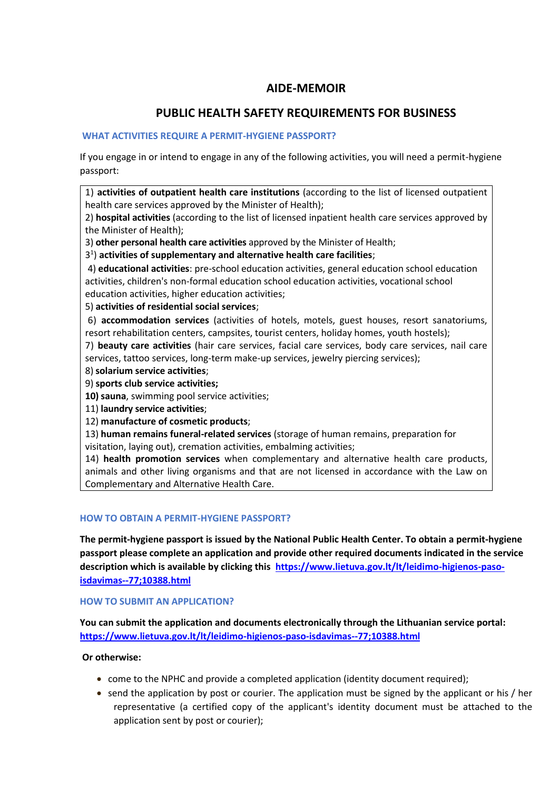## **AIDE-MEMOIR**

# **PUBLIC HEALTH SAFETY REQUIREMENTS FOR BUSINESS**

## **WHAT ACTIVITIES REQUIRE A PERMIT-HYGIENE PASSPORT?**

If you engage in or intend to engage in any of the following activities, you will need a permit-hygiene passport:

1) **activities of outpatient health care institutions** (according to the list of licensed outpatient health care services approved by the Minister of Health);

2) **hospital activities** (according to the list of licensed inpatient health care services approved by the Minister of Health);

3) **other personal health care activities** approved by the Minister of Health;

3 1 ) **activities of supplementary and alternative health care facilities**;

4) **educational activities**: pre-school education activities, general education school education activities, children's non-formal education school education activities, vocational school education activities, higher education activities;

5) **activities of residential social services**;

6) **accommodation services** (activities of hotels, motels, guest houses, resort sanatoriums, resort rehabilitation centers, campsites, tourist centers, holiday homes, youth hostels);

7) **beauty care activities** (hair care services, facial care services, body care services, nail care services, tattoo services, long-term make-up services, jewelry piercing services);

- 8) **solarium service activities**;
- 9) **sports club service activities;**

**10) sauna**, swimming pool service activities;

11) **laundry service activities**;

12) **manufacture of cosmetic products**;

13) **human remains funeral-related services** (storage of human remains, preparation for visitation, laying out), cremation activities, embalming activities;

14) **health promotion services** when complementary and alternative health care products, animals and other living organisms and that are not licensed in accordance with the Law on Complementary and Alternative Health Care.

#### **HOW TO OBTAIN A PERMIT-HYGIENE PASSPORT?**

**The permit-hygiene passport is issued by the National Public Health Center. To obtain a permit-hygiene passport please complete an application and provide other required documents indicated in the service description which is available by clicking this [https://www.lietuva.gov.lt/lt/leidimo-higienos-paso](https://www.lietuva.gov.lt/lt/leidimo-higienos-paso-isdavimas--77;10388.html)[isdavimas--77;10388.html](https://www.lietuva.gov.lt/lt/leidimo-higienos-paso-isdavimas--77;10388.html)**

**HOW TO SUBMIT AN APPLICATION?**

**You can submit the application and documents electronically through the Lithuanian service portal: <https://www.lietuva.gov.lt/lt/leidimo-higienos-paso-isdavimas--77;10388.html>**

#### **Or otherwise:**

- come to the NPHC and provide a completed application (identity document required);
- send the application by post or courier. The application must be signed by the applicant or his / her representative (a certified copy of the applicant's identity document must be attached to the application sent by post or courier);